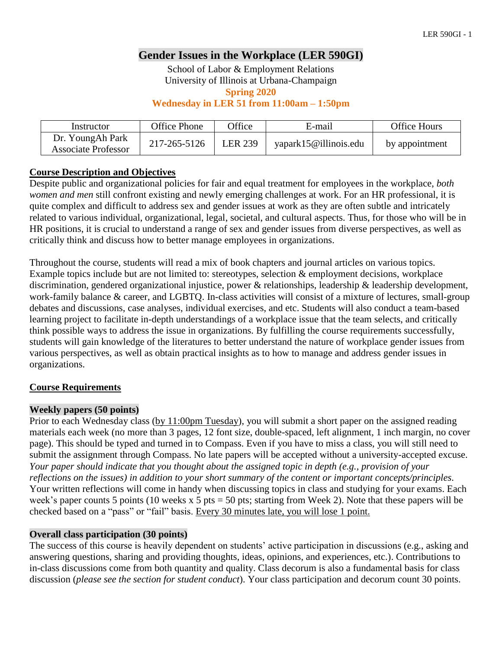# **Gender Issues in the Workplace (LER 590GI)**

School of Labor & Employment Relations University of Illinois at Urbana-Champaign **Spring 2020**

**Wednesday in LER 51 from 11:00am – 1:50pm**

| Instructor                                     | Office Phone | <b>Office</b>  | E-mail                | Office Hours   |
|------------------------------------------------|--------------|----------------|-----------------------|----------------|
| Dr. YoungAh Park<br><b>Associate Professor</b> | 217-265-5126 | <b>LER 239</b> | yapark15@illinois.edu | by appointment |

#### **Course Description and Objectives**

Despite public and organizational policies for fair and equal treatment for employees in the workplace, *both women and men* still confront existing and newly emerging challenges at work. For an HR professional, it is quite complex and difficult to address sex and gender issues at work as they are often subtle and intricately related to various individual, organizational, legal, societal, and cultural aspects. Thus, for those who will be in HR positions, it is crucial to understand a range of sex and gender issues from diverse perspectives, as well as critically think and discuss how to better manage employees in organizations.

Throughout the course, students will read a mix of book chapters and journal articles on various topics. Example topics include but are not limited to: stereotypes, selection & employment decisions, workplace discrimination, gendered organizational injustice, power & relationships, leadership & leadership development, work-family balance & career, and LGBTQ. In-class activities will consist of a mixture of lectures, small-group debates and discussions, case analyses, individual exercises, and etc. Students will also conduct a team-based learning project to facilitate in-depth understandings of a workplace issue that the team selects, and critically think possible ways to address the issue in organizations. By fulfilling the course requirements successfully, students will gain knowledge of the literatures to better understand the nature of workplace gender issues from various perspectives, as well as obtain practical insights as to how to manage and address gender issues in organizations.

# **Course Requirements**

#### **Weekly papers (50 points)**

Prior to each Wednesday class (by 11:00pm Tuesday), you will submit a short paper on the assigned reading materials each week (no more than 3 pages, 12 font size, double-spaced, left alignment, 1 inch margin, no cover page). This should be typed and turned in to Compass. Even if you have to miss a class, you will still need to submit the assignment through Compass. No late papers will be accepted without a university-accepted excuse. *Your paper should indicate that you thought about the assigned topic in depth (e.g., provision of your reflections on the issues) in addition to your short summary of the content or important concepts/principles.* Your written reflections will come in handy when discussing topics in class and studying for your exams. Each week's paper counts 5 points (10 weeks x 5 pts = 50 pts; starting from Week 2). Note that these papers will be checked based on a "pass" or "fail" basis. Every 30 minutes late, you will lose 1 point.

#### **Overall class participation (30 points)**

The success of this course is heavily dependent on students' active participation in discussions (e.g., asking and answering questions, sharing and providing thoughts, ideas, opinions, and experiences, etc.). Contributions to in-class discussions come from both quantity and quality. Class decorum is also a fundamental basis for class discussion (*please see the section for student conduct*). Your class participation and decorum count 30 points.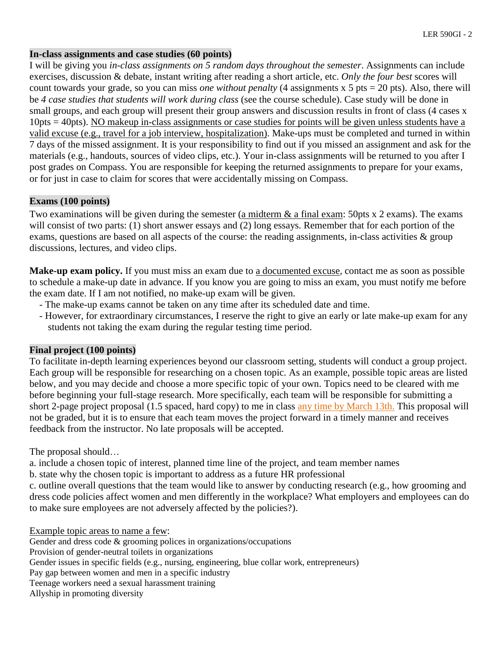#### **In-class assignments and case studies (60 points)**

I will be giving you *in-class assignments on 5 random days throughout the semester*. Assignments can include exercises, discussion & debate, instant writing after reading a short article, etc. *Only the four best* scores will count towards your grade, so you can miss *one without penalty* (4 assignments x 5 pts = 20 pts). Also, there will be *4 case studies that students will work during class* (see the course schedule). Case study will be done in small groups, and each group will present their group answers and discussion results in front of class (4 cases x 10pts = 40pts). NO makeup in-class assignments or case studies for points will be given unless students have a valid excuse (e.g., travel for a job interview, hospitalization). Make-ups must be completed and turned in within 7 days of the missed assignment. It is your responsibility to find out if you missed an assignment and ask for the materials (e.g., handouts, sources of video clips, etc.). Your in-class assignments will be returned to you after I post grades on Compass. You are responsible for keeping the returned assignments to prepare for your exams, or for just in case to claim for scores that were accidentally missing on Compass.

# **Exams (100 points)**

Two examinations will be given during the semester (a midterm & a final exam: 50pts x 2 exams). The exams will consist of two parts: (1) short answer essays and (2) long essays. Remember that for each portion of the exams, questions are based on all aspects of the course: the reading assignments, in-class activities & group discussions, lectures, and video clips.

**Make-up exam policy.** If you must miss an exam due to a documented excuse, contact me as soon as possible to schedule a make-up date in advance. If you know you are going to miss an exam, you must notify me before the exam date. If I am not notified, no make-up exam will be given.

- The make-up exams cannot be taken on any time after its scheduled date and time.
- However, for extraordinary circumstances, I reserve the right to give an early or late make-up exam for any students not taking the exam during the regular testing time period.

#### **Final project (100 points)**

To facilitate in-depth learning experiences beyond our classroom setting, students will conduct a group project. Each group will be responsible for researching on a chosen topic. As an example, possible topic areas are listed below, and you may decide and choose a more specific topic of your own. Topics need to be cleared with me before beginning your full-stage research. More specifically, each team will be responsible for submitting a short 2-page project proposal (1.5 spaced, hard copy) to me in class any time by March 13th. This proposal will not be graded, but it is to ensure that each team moves the project forward in a timely manner and receives feedback from the instructor. No late proposals will be accepted.

The proposal should…

a. include a chosen topic of interest, planned time line of the project, and team member names

b. state why the chosen topic is important to address as a future HR professional

c. outline overall questions that the team would like to answer by conducting research (e.g., how grooming and dress code policies affect women and men differently in the workplace? What employers and employees can do to make sure employees are not adversely affected by the policies?).

Example topic areas to name a few:

Gender and dress code & grooming polices in organizations/occupations Provision of gender-neutral toilets in organizations Gender issues in specific fields (e.g., nursing, engineering, blue collar work, entrepreneurs) Pay gap between women and men in a specific industry Teenage workers need a sexual harassment training Allyship in promoting diversity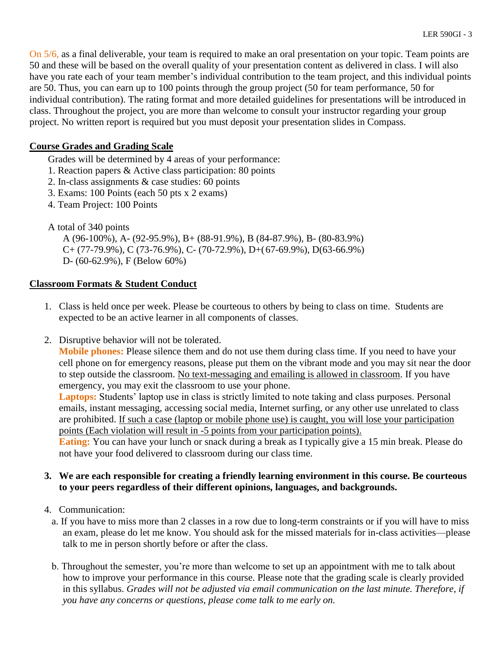On 5/6, as a final deliverable, your team is required to make an oral presentation on your topic. Team points are 50 and these will be based on the overall quality of your presentation content as delivered in class. I will also have you rate each of your team member's individual contribution to the team project, and this individual points are 50. Thus, you can earn up to 100 points through the group project (50 for team performance, 50 for individual contribution). The rating format and more detailed guidelines for presentations will be introduced in class. Throughout the project, you are more than welcome to consult your instructor regarding your group project. No written report is required but you must deposit your presentation slides in Compass.

### **Course Grades and Grading Scale**

Grades will be determined by 4 areas of your performance:

- 1. Reaction papers & Active class participation: 80 points
- 2. In-class assignments & case studies: 60 points
- 3. Exams: 100 Points (each 50 pts x 2 exams)
- 4. Team Project: 100 Points

# A total of 340 points

A (96-100%), A- (92-95.9%), B+ (88-91.9%), B (84-87.9%), B- (80-83.9%)  $C+(77-79.9\%)$ , C (73-76.9%), C- (70-72.9%), D+(67-69.9%), D(63-66.9%) D- (60-62.9%), F (Below 60%)

#### **Classroom Formats & Student Conduct**

- 1. Class is held once per week. Please be courteous to others by being to class on time. Students are expected to be an active learner in all components of classes.
- 2. Disruptive behavior will not be tolerated.

**Mobile phones:** Please silence them and do not use them during class time. If you need to have your cell phone on for emergency reasons, please put them on the vibrant mode and you may sit near the door to step outside the classroom. No text-messaging and emailing is allowed in classroom. If you have emergency, you may exit the classroom to use your phone.

**Laptops:** Students' laptop use in class is strictly limited to note taking and class purposes. Personal emails, instant messaging, accessing social media, Internet surfing, or any other use unrelated to class are prohibited. If such a case (laptop or mobile phone use) is caught, you will lose your participation points (Each violation will result in -5 points from your participation points).

**Eating:** You can have your lunch or snack during a break as I typically give a 15 min break. Please do not have your food delivered to classroom during our class time.

#### **3. We are each responsible for creating a friendly learning environment in this course. Be courteous to your peers regardless of their different opinions, languages, and backgrounds.**

- 4. Communication:
	- a. If you have to miss more than 2 classes in a row due to long-term constraints or if you will have to miss an exam, please do let me know. You should ask for the missed materials for in-class activities—please talk to me in person shortly before or after the class.
	- b. Throughout the semester, you're more than welcome to set up an appointment with me to talk about how to improve your performance in this course. Please note that the grading scale is clearly provided in this syllabus. *Grades will not be adjusted via email communication on the last minute. Therefore, if you have any concerns or questions, please come talk to me early on.*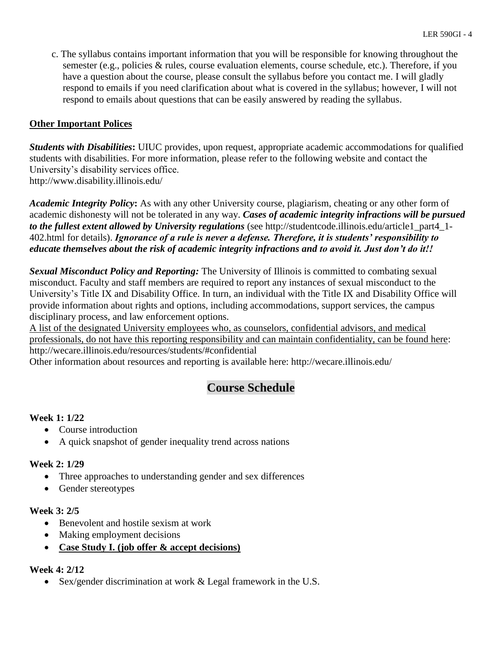c. The syllabus contains important information that you will be responsible for knowing throughout the semester (e.g., policies & rules, course evaluation elements, course schedule, etc.). Therefore, if you have a question about the course, please consult the syllabus before you contact me. I will gladly respond to emails if you need clarification about what is covered in the syllabus; however, I will not respond to emails about questions that can be easily answered by reading the syllabus.

# **Other Important Polices**

*Students with Disabilities***:** UIUC provides, upon request, appropriate academic accommodations for qualified students with disabilities. For more information, please refer to the following website and contact the University's disability services office. http://www.disability.illinois.edu/

*Academic Integrity Policy***:** As with any other University course, plagiarism, cheating or any other form of academic dishonesty will not be tolerated in any way. *Cases of academic integrity infractions will be pursued to the fullest extent allowed by University regulations* (see http://studentcode.illinois.edu/article1\_part4\_1- 402.html for details). *Ignorance of a rule is never a defense. Therefore, it is students' responsibility to educate themselves about the risk of academic integrity infractions and to avoid it. Just don't do it!!*

*Sexual Misconduct Policy and Reporting:* The University of Illinois is committed to combating sexual misconduct. Faculty and staff members are required to report any instances of sexual misconduct to the University's Title IX and Disability Office. In turn, an individual with the Title IX and Disability Office will provide information about rights and options, including accommodations, support services, the campus disciplinary process, and law enforcement options.

A list of the designated University employees who, as counselors, confidential advisors, and medical professionals, do not have this reporting responsibility and can maintain confidentiality, can be found here: http://wecare.illinois.edu/resources/students/#confidential

Other information about resources and reporting is available here: http://wecare.illinois.edu/

# **Course Schedule**

# **Week 1: 1/22**

- Course introduction
- A quick snapshot of gender inequality trend across nations

# **Week 2: 1/29**

- Three approaches to understanding gender and sex differences
- Gender stereotypes

#### **Week 3: 2/5**

- Benevolent and hostile sexism at work
- Making employment decisions
- **Case Study I. (job offer & accept decisions)**

#### **Week 4: 2/12**

• Sex/gender discrimination at work & Legal framework in the U.S.